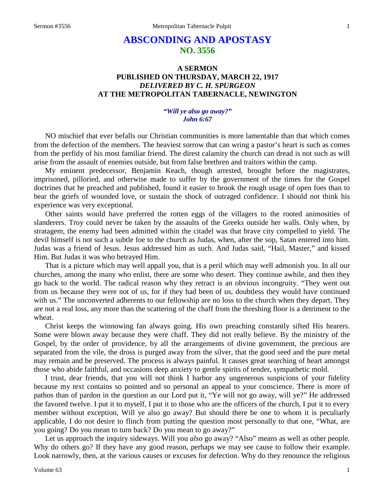# **ABSCONDING AND APOSTASY NO. 3556**

## **A SERMON PUBLISHED ON THURSDAY, MARCH 22, 1917** *DELIVERED BY C. H. SPURGEON* **AT THE METROPOLITAN TABERNACLE, NEWINGTON**

### *"Will ye also go away?" John 6:67*

NO mischief that ever befalls our Christian communities is more lamentable than that which comes from the defection of the members. The heaviest sorrow that can wring a pastor's heart is such as comes from the perfidy of his most familiar friend. The direst calamity the church can dread is not such as will arise from the assault of enemies outside, but from false brethren and traitors within the camp.

My eminent predecessor, Benjamin Keach, though arrested, brought before the magistrates, imprisoned, pilloried, and otherwise made to suffer by the government of the times for the Gospel doctrines that he preached and published, found it easier to brook the rough usage of open foes than to bear the griefs of wounded love, or sustain the shock of outraged confidence. I should not think his experience was very exceptional.

Other saints would have preferred the rotten eggs of the villagers to the rooted animosities of slanderers. Troy could never be taken by the assaults of the Greeks outside her walls. Only when, by stratagem, the enemy had been admitted within the citadel was that brave city compelled to yield. The devil himself is not such a subtle foe to the church as Judas, when, after the sop, Satan entered into him. Judas was a friend of Jesus. Jesus addressed him as such. And Judas said, "Hail, Master," and kissed Him. But Judas it was who betrayed Him.

That is a picture which may well appall you, that is a peril which may well admonish you. In all our churches, among the many who enlist, there are some who desert. They continue awhile, and then they go back to the world. The radical reason why they retract is an obvious incongruity. "They went out from us because they were not of us, for if they had been of us, doubtless they would have continued with us." The unconverted adherents to our fellowship are no loss to the church when they depart. They are not a real loss, any more than the scattering of the chaff from the threshing floor is a detriment to the wheat.

Christ keeps the winnowing fan always going. His own preaching constantly sifted His hearers. Some were blown away because they were chaff. They did not really believe. By the ministry of the Gospel, by the order of providence, by all the arrangements of divine government, the precious are separated from the vile, the dross is purged away from the silver, that the good seed and the pure metal may remain and be preserved. The process is always painful. It causes great searching of heart amongst those who abide faithful, and occasions deep anxiety to gentle spirits of tender, sympathetic mold.

I trust, dear friends, that you will not think I harbor any ungenerous suspicions of your fidelity because my text contains so pointed and so personal an appeal to your conscience. There is more of pathos than of pardon in the question as our Lord put it, "Ye will not go away, will ye?" He addressed the favored twelve. I put it to myself, I put it to those who are the officers of the church, I put it to every member without exception, Will ye also go away? But should there be one to whom it is peculiarly applicable, I do not desire to flinch from putting the question most personally to that one, "What, are you going? Do you mean to turn back? Do you mean to go away?"

Let us approach the inquiry sideways. Will you *also* go away? "Also" means as well as other people. Why do others go? If they have any good reason, perhaps we may see cause to follow their example. Look narrowly, then, at the various causes or excuses for defection. Why do they renounce the religious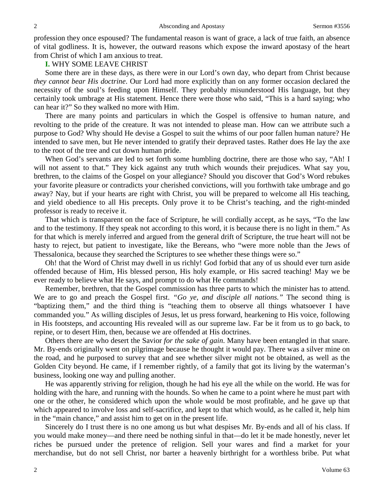profession they once espoused? The fundamental reason is want of grace, a lack of true faith, an absence of vital godliness. It is, however, the outward reasons which expose the inward apostasy of the heart from Christ of which I am anxious to treat.

### **I.** WHY SOME LEAVE CHRIST

Some there are in these days, as there were in our Lord's own day, who depart from Christ because *they cannot bear His doctrine*. Our Lord had more explicitly than on any former occasion declared the necessity of the soul's feeding upon Himself. They probably misunderstood His language, but they certainly took umbrage at His statement. Hence there were those who said, "This is a hard saying; who can hear it?" So they walked no more with Him.

There are many points and particulars in which the Gospel is offensive to human nature, and revolting to the pride of the creature. It was not intended to please man. How can we attribute such a purpose to God? Why should He devise a Gospel to suit the whims of our poor fallen human nature? He intended to save men, but He never intended to gratify their depraved tastes. Rather does He lay the axe to the root of the tree and cut down human pride.

When God's servants are led to set forth some humbling doctrine, there are those who say, "Ah! I will not assent to that." They kick against any truth which wounds their prejudices. What say you, brethren, to the claims of the Gospel on your allegiance? Should you discover that God's Word rebukes your favorite pleasure or contradicts your cherished convictions, will you forthwith take umbrage and go away? Nay, but if your hearts are right with Christ, you will be prepared to welcome all His teaching, and yield obedience to all His precepts. Only prove it to be Christ's teaching, and the right-minded professor is ready to receive it.

That which is transparent on the face of Scripture, he will cordially accept, as he says, "To the law and to the testimony. If they speak not according to this word, it is because there is no light in them." As for that which is merely inferred and argued from the general drift of Scripture, the true heart will not be hasty to reject, but patient to investigate, like the Bereans, who "were more noble than the Jews of Thessalonica, because they searched the Scriptures to see whether these things were so."

Oh! that the Word of Christ may dwell in us richly! God forbid that any of us should ever turn aside offended because of Him, His blessed person, His holy example, or His sacred teaching! May we be ever ready to believe what He says, and prompt to do what He commands!

Remember, brethren, that the Gospel commission has three parts to which the minister has to attend. We are to go and preach the Gospel first. *"Go ye, and disciple all nations."* The second thing is "baptizing them," and the third thing is "teaching them to observe all things whatsoever I have commanded you." As willing disciples of Jesus, let us press forward, hearkening to His voice, following in His footsteps, and accounting His revealed will as our supreme law. Far be it from us to go back, to repine, or to desert Him, then, because we are offended at His doctrines.

Others there are who desert the Savior *for the sake of gain*. Many have been entangled in that snare. Mr. By-ends originally went on pilgrimage because he thought it would pay. There was a silver mine on the road, and he purposed to survey that and see whether silver might not be obtained, as well as the Golden City beyond. He came, if I remember rightly, of a family that got its living by the waterman's business, looking one way and pulling another.

He was apparently striving for religion, though he had his eye all the while on the world. He was for holding with the hare, and running with the hounds. So when he came to a point where he must part with one or the other, he considered which upon the whole would be most profitable, and he gave up that which appeared to involve loss and self-sacrifice, and kept to that which would, as he called it, help him in the "main chance," and assist him to get on in the present life.

Sincerely do I trust there is no one among us but what despises Mr. By-ends and all of his class. If you would make money—and there need be nothing sinful in that—do let it be made honestly, never let riches be pursued under the pretence of religion. Sell your wares and find a market for your merchandise, but do not sell Christ, nor barter a heavenly birthright for a worthless bribe. Put what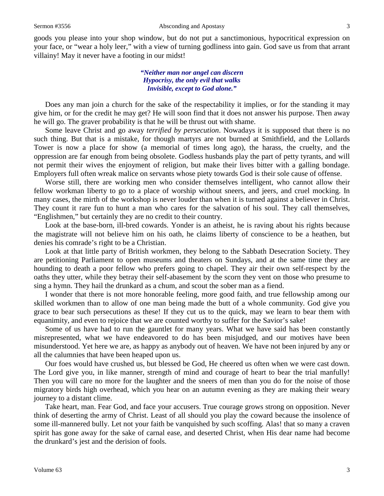goods you please into your shop window, but do not put a sanctimonious, hypocritical expression on your face, or "wear a holy leer," with a view of turning godliness into gain. God save us from that arrant villainy! May it never have a footing in our midst!

### *"Neither man nor angel can discern Hypocrisy, the only evil that walks Invisible, except to God alone."*

Does any man join a church for the sake of the respectability it implies, or for the standing it may give him, or for the credit he may get? He will soon find that it does not answer his purpose. Then away he will go. The graver probability is that he will be thrust out with shame.

Some leave Christ and go away *terrified by persecution*. Nowadays it is supposed that there is no such thing. But that is a mistake, for though martyrs are not burned at Smithfield, and the Lollards Tower is now a place for show (a memorial of times long ago), the harass, the cruelty, and the oppression are far enough from being obsolete. Godless husbands play the part of petty tyrants, and will not permit their wives the enjoyment of religion, but make their lives bitter with a galling bondage. Employers full often wreak malice on servants whose piety towards God is their sole cause of offense.

Worse still, there are working men who consider themselves intelligent, who cannot allow their fellow workman liberty to go to a place of worship without sneers, and jeers, and cruel mocking. In many cases, the mirth of the workshop is never louder than when it is turned against a believer in Christ. They count it rare fun to hunt a man who cares for the salvation of his soul. They call themselves, "Englishmen," but certainly they are no credit to their country.

Look at the base-born, ill-bred cowards. Yonder is an atheist, he is raving about his rights because the magistrate will not believe him on his oath, he claims liberty of conscience to be a heathen, but denies his comrade's right to be a Christian.

Look at that little party of British workmen, they belong to the Sabbath Desecration Society. They are petitioning Parliament to open museums and theaters on Sundays, and at the same time they are hounding to death a poor fellow who prefers going to chapel. They air their own self-respect by the oaths they utter, while they betray their self-abasement by the scorn they vent on those who presume to sing a hymn. They hail the drunkard as a chum, and scout the sober man as a fiend.

I wonder that there is not more honorable feeling, more good faith, and true fellowship among our skilled workmen than to allow of one man being made the butt of a whole community. God give you grace to bear such persecutions as these! If they cut us to the quick, may we learn to bear them with equanimity, and even to rejoice that we are counted worthy to suffer for the Savior's sake!

Some of us have had to run the gauntlet for many years. What we have said has been constantly misrepresented, what we have endeavored to do has been misjudged, and our motives have been misunderstood. Yet here we are, as happy as anybody out of heaven. We have not been injured by any or all the calumnies that have been heaped upon us.

Our foes would have crushed us, but blessed be God, He cheered us often when we were cast down. The Lord give you, in like manner, strength of mind and courage of heart to bear the trial manfully! Then you will care no more for the laughter and the sneers of men than you do for the noise of those migratory birds high overhead, which you hear on an autumn evening as they are making their weary journey to a distant clime.

Take heart, man. Fear God, and face your accusers. True courage grows strong on opposition. Never think of deserting the army of Christ. Least of all should you play the coward because the insolence of some ill-mannered bully. Let not your faith be vanquished by such scoffing. Alas! that so many a craven spirit has gone away for the sake of carnal ease, and deserted Christ, when His dear name had become the drunkard's jest and the derision of fools.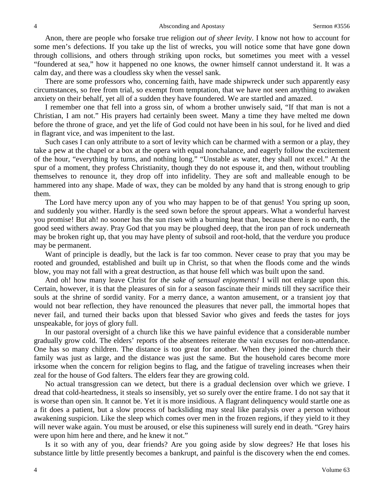Anon, there are people who forsake true religion *out of sheer levity*. I know not how to account for some men's defections. If you take up the list of wrecks, you will notice some that have gone down through collisions, and others through striking upon rocks, but sometimes you meet with a vessel "foundered at sea," how it happened no one knows, the owner himself cannot understand it. It was a calm day, and there was a cloudless sky when the vessel sank.

There are some professors who, concerning faith, have made shipwreck under such apparently easy circumstances, so free from trial, so exempt from temptation, that we have not seen anything to awaken anxiety on their behalf, yet all of a sudden they have foundered. We are startled and amazed.

I remember one that fell into a gross sin, of whom a brother unwisely said, "If that man is not a Christian, I am not." His prayers had certainly been sweet. Many a time they have melted me down before the throne of grace, and yet the life of God could not have been in his soul, for he lived and died in flagrant vice, and was impenitent to the last.

Such cases I can only attribute to a sort of levity which can be charmed with a sermon or a play, they take a pew at the chapel or a box at the opera with equal nonchalance, and eagerly follow the excitement of the hour, "everything by turns, and nothing long." "Unstable as water, they shall not excel." At the spur of a moment, they profess Christianity, though they do not espouse it, and then, without troubling themselves to renounce it, they drop off into infidelity. They are soft and malleable enough to be hammered into any shape. Made of wax, they can be molded by any hand that is strong enough to grip them.

The Lord have mercy upon any of you who may happen to be of that genus! You spring up soon, and suddenly you wither. Hardly is the seed sown before the sprout appears. What a wonderful harvest you promise! But ah! no sooner has the sun risen with a burning heat than, because there is no earth, the good seed withers away. Pray God that you may be ploughed deep, that the iron pan of rock underneath may be broken right up, that you may have plenty of subsoil and root-hold, that the verdure you produce may be permanent.

Want of principle is deadly, but the lack is far too common. Never cease to pray that you may be rooted and grounded, established and built up in Christ, so that when the floods come and the winds blow, you may not fall with a great destruction, as that house fell which was built upon the sand.

And oh! how many leave Christ for *the sake of sensual enjoyments!* I will not enlarge upon this. Certain, however, it is that the pleasures of sin for a season fascinate their minds till they sacrifice their souls at the shrine of sordid vanity. For a merry dance, a wanton amusement, or a transient joy that would not bear reflection, they have renounced the pleasures that never pall, the immortal hopes that never fail, and turned their backs upon that blessed Savior who gives and feeds the tastes for joys unspeakable, for joys of glory full.

In our pastoral oversight of a church like this we have painful evidence that a considerable number gradually grow cold. The elders' reports of the absentees reiterate the vain excuses for non-attendance. One has so many children. The distance is too great for another. When they joined the church their family was just as large, and the distance was just the same. But the household cares become more irksome when the concern for religion begins to flag, and the fatigue of traveling increases when their zeal for the house of God falters. The elders fear they are growing cold.

No actual transgression can we detect, but there is a gradual declension over which we grieve. I dread that cold-heartedness, it steals so insensibly, yet so surely over the entire frame. I do not say that it is worse than open sin. It cannot be. Yet it is more insidious. A flagrant delinquency would startle one as a fit does a patient, but a slow process of backsliding may steal like paralysis over a person without awakening suspicion. Like the sleep which comes over men in the frozen regions, if they yield to it they will never wake again. You must be aroused, or else this supineness will surely end in death. "Grey hairs" were upon him here and there, and he knew it not."

Is it so with any of you, dear friends? Are you going aside by slow degrees? He that loses his substance little by little presently becomes a bankrupt, and painful is the discovery when the end comes.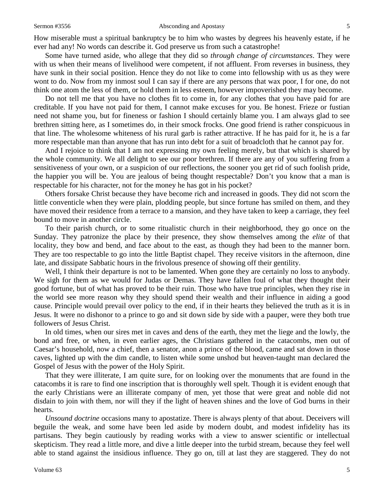#### Sermon #3556 **Absconding and Apostasy** 5

How miserable must a spiritual bankruptcy be to him who wastes by degrees his heavenly estate, if he ever had any! No words can describe it. God preserve us from such a catastrophe!

Some have turned aside, who allege that they did so *through change of circumstances*. They were with us when their means of livelihood were competent, if not affluent. From reverses in business, they have sunk in their social position. Hence they do not like to come into fellowship with us as they were wont to do. Now from my inmost soul I can say if there are any persons that wax poor, I for one, do not think one atom the less of them, or hold them in less esteem, however impoverished they may become.

Do not tell me that you have no clothes fit to come in, for any clothes that you have paid for are creditable. If you have not paid for them, I cannot make excuses for you. Be honest. Frieze or fustian need not shame you, but for fineness or fashion I should certainly blame you. I am always glad to see brethren sitting here, as I sometimes do, in their smock frocks. One good friend is rather conspicuous in that line. The wholesome whiteness of his rural garb is rather attractive. If he has paid for it, he is a far more respectable man than anyone that has run into debt for a suit of broadcloth that he cannot pay for.

And I rejoice to think that I am not expressing my own feeling merely, but that which is shared by the whole community. We all delight to see our poor brethren. If there are any of you suffering from a sensitiveness of your own, or a suspicion of our reflections, the sooner you get rid of such foolish pride, the happier you will be. You are jealous of being thought respectable? Don't you know that a man is respectable for his character, not for the money he has got in his pocket?

Others forsake Christ because they have become rich and increased in goods. They did not scorn the little conventicle when they were plain, plodding people, but since fortune has smiled on them, and they have moved their residence from a terrace to a mansion, and they have taken to keep a carriage, they feel bound to move in another circle.

To their parish church, or to some ritualistic church in their neighborhood, they go once on the Sunday. They patronize the place by their presence, they show themselves among the *elite* of that locality, they bow and bend, and face about to the east, as though they had been to the manner born. They are too respectable to go into the little Baptist chapel. They receive visitors in the afternoon, dine late, and dissipate Sabbatic hours in the frivolous presence of showing off their gentility.

Well, I think their departure is not to be lamented. When gone they are certainly no loss to anybody. We sigh for them as we would for Judas or Demas. They have fallen foul of what they thought their good fortune, but of what has proved to be their ruin. Those who have true principles, when they rise in the world see more reason why they should spend their wealth and their influence in aiding a good cause. Principle would prevail over policy to the end, if in their hearts they believed the truth as it is in Jesus. It were no dishonor to a prince to go and sit down side by side with a pauper, were they both true followers of Jesus Christ.

In old times, when our sires met in caves and dens of the earth, they met the liege and the lowly, the bond and free, or when, in even earlier ages, the Christians gathered in the catacombs, men out of Caesar's household, now a chief, then a senator, anon a prince of the blood, came and sat down in those caves, lighted up with the dim candle, to listen while some unshod but heaven-taught man declared the Gospel of Jesus with the power of the Holy Spirit.

That they were illiterate, I am quite sure, for on looking over the monuments that are found in the catacombs it is rare to find one inscription that is thoroughly well spelt. Though it is evident enough that the early Christians were an illiterate company of men, yet those that were great and noble did not disdain to join with them, nor will they if the light of heaven shines and the love of God burns in their hearts.

*Unsound doctrine* occasions many to apostatize. There is always plenty of that about. Deceivers will beguile the weak, and some have been led aside by modern doubt, and modest infidelity has its partisans. They begin cautiously by reading works with a view to answer scientific or intellectual skepticism. They read a little more, and dive a little deeper into the turbid stream, because they feel well able to stand against the insidious influence. They go on, till at last they are staggered. They do not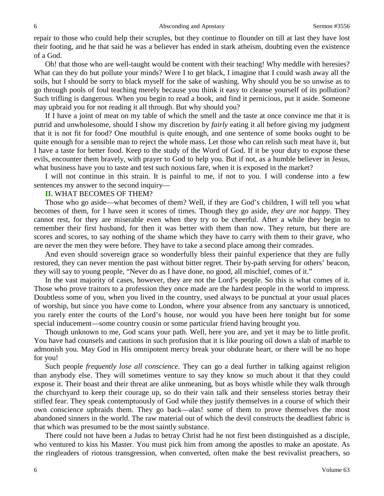repair to those who could help their scruples, but they continue to flounder on till at last they have lost their footing, and he that said he was a believer has ended in stark atheism, doubting even the existence of a God.

Oh! that those who are well-taught would be content with their teaching! Why meddle with heresies? What can they do but pollute your minds? Were I to get black, I imagine that I could wash away all the soils, but I should be sorry to black myself for the sake of washing. Why should you be so unwise as to go through pools of foul teaching merely because you think it easy to cleanse yourself of its pollution? Such trifling is dangerous. When you begin to read a book, and find it pernicious, put it aside. Someone may upbraid you for not reading it all through. But why should you?

If I have a joint of meat on my table of which the smell and the taste at once convince me that it is putrid and unwholesome, should I show my discretion by *fairly* eating it all before giving my judgment that it is not fit for food? One mouthful is quite enough, and one sentence of some books ought to be quite enough for a sensible man to reject the whole mass. Let those who can relish such meat have it, but I have a taste for better food. Keep to the study of the Word of God. If it be your duty to expose these evils, encounter them bravely, with prayer to God to help you. But if not, as a humble believer in Jesus, what business have you to taste and test such noxious fare, when it is exposed in the market?

I will not continue in this strain. It is painful to me, if not to you. I will condense into a few sentences my answer to the second inquiry—

### **II.** WHAT BECOMES OF THEM?

Those who go aside—what becomes of them? Well, if they are God's children, I will tell you what becomes of them, for I have seen it scores of times. Though they go aside, *they are not happy*. They cannot rest, for they are miserable even when they try to be cheerful. After a while they begin to remember their first husband, for then it was better with them than now. They return, but there are scores and scores, to say nothing of the shame which they have to carry with them to their grave, who are never the men they were before. They have to take a second place among their comrades.

And even should sovereign grace so wonderfully bless their painful experience that they are fully restored, they can never mention the past without bitter regret. Their by-path serving for others' beacon, they will say to young people, "Never do as I have done, no good, all mischief, comes of it."

In the vast majority of cases, however, they are not the Lord's people. So this is what comes of it. Those who prove traitors to a profession they once made are the hardest people in the world to impress. Doubtless some of you, when you lived in the country, used always to be punctual at your usual places of worship, but since you have come to London, where your absence from any sanctuary is unnoticed, you rarely enter the courts of the Lord's house, nor would you have been here tonight but for some special inducement—some country cousin or some particular friend having brought you.

Though unknown to me, God scans your path. Well, here you are, and yet it may be to little profit. You have had counsels and cautions in such profusion that it is like pouring oil down a slab of marble to admonish you. May God in His omnipotent mercy break your obdurate heart, or there will be no hope for you!

Such people *frequently lose all conscience*. They can go a deal further in talking against religion than anybody else. They will sometimes venture to say they know so much about it that they could expose it. Their boast and their threat are alike unmeaning, but as boys whistle while they walk through the churchyard to keep their courage up, so do their vain talk and their senseless stories betray their stifled fear. They speak contemptuously of God while they justify themselves in a course of which their own conscience upbraids them. They go back—alas! some of them to prove themselves the most abandoned sinners in the world. The raw material out of which the devil constructs the deadliest fabric is that which was presumed to be the most saintly substance.

There could not have been a Judas to betray Christ had he not first been distinguished as a disciple, who ventured to kiss his Master. You must pick him from among the apostles to make an apostate. As the ringleaders of riotous transgression, when converted, often make the best revivalist preachers, so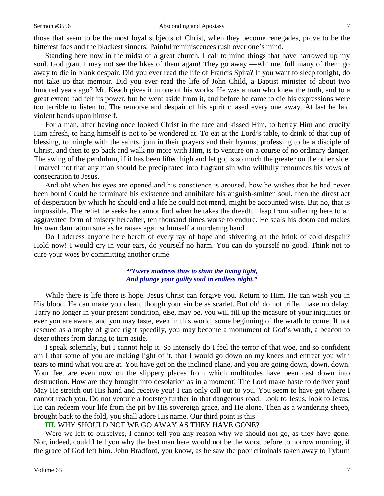#### Sermon #3556 **Absconding and Apostasy** 7

those that seem to be the most loyal subjects of Christ, when they become renegades, prove to be the bitterest foes and the blackest sinners. Painful reminiscences rush over one's mind.

Standing here now in the midst of a great church, I call to mind things that have harrowed up my soul. God grant I may not see the likes of them again! They go away!—Ah! me, full many of them go away to die in blank despair. Did you ever read the life of Francis Spira? If you want to sleep tonight, do not take up that memoir. Did you ever read the life of John Child, a Baptist minister of about two hundred years ago? Mr. Keach gives it in one of his works. He was a man who knew the truth, and to a great extent had felt its power, but he went aside from it, and before he came to die his expressions were too terrible to listen to. The remorse and despair of his spirit chased every one away. At last he laid violent hands upon himself.

For a man, after having once looked Christ in the face and kissed Him, to betray Him and crucify Him afresh, to hang himself is not to be wondered at. To eat at the Lord's table, to drink of that cup of blessing, to mingle with the saints, join in their prayers and their hymns, professing to be a disciple of Christ, and then to go back and walk no more with Him, is to venture on a course of no ordinary danger. The swing of the pendulum, if it has been lifted high and let go, is so much the greater on the other side. I marvel not that any man should be precipitated into flagrant sin who willfully renounces his vows of consecration to Jesus.

And oh! when his eyes are opened and his conscience is aroused, how he wishes that he had never been born! Could he terminate his existence and annihilate his anguish-smitten soul, then the direst act of desperation by which he should end a life he could not mend, might be accounted wise. But no, that is impossible. The relief he seeks he cannot find when he takes the dreadful leap from suffering here to an aggravated form of misery hereafter, ten thousand times worse to endure. He seals his doom and makes his own damnation sure as he raises against himself a murdering hand.

Do I address anyone here bereft of every ray of hope and shivering on the brink of cold despair? Hold now! I would cry in your ears, do yourself no harm. You can do yourself no good. Think not to cure your woes by committing another crime—

### *"'Twere madness thus to shun the living light, And plunge your guilty soul in endless night."*

While there is life there is hope. Jesus Christ can forgive you. Return to Him. He can wash you in His blood. He can make you clean, though your sin be as scarlet. But oh! do not trifle, make no delay. Tarry no longer in your present condition, else, may be, you will fill up the measure of your iniquities or ever you are aware, and you may taste, even in this world, some beginning of the wrath to come. If not rescued as a trophy of grace right speedily, you may become a monument of God's wrath, a beacon to deter others from daring to turn aside.

I speak solemnly, but I cannot help it. So intensely do I feel the terror of that woe, and so confident am I that some of you are making light of it, that I would go down on my knees and entreat you with tears to mind what you are at. You have got on the inclined plane, and you are going down, down, down. Your feet are even now on the slippery places from which multitudes have been cast down into destruction. How are they brought into desolation as in a moment! The Lord make haste to deliver you! May He stretch out His hand and receive you! I can only call out to you. You seem to have got where I cannot reach you. Do not venture a footstep further in that dangerous road. Look to Jesus, look to Jesus, He can redeem your life from the pit by His sovereign grace, and He alone. Then as a wandering sheep, brought back to the fold, you shall adore His name. Our third point is this—

### **III.** WHY SHOULD NOT WE GO AWAY AS THEY HAVE GONE?

Were we left to ourselves, I cannot tell you any reason why we should not go, as they have gone. Nor, indeed, could I tell you why the best man here would not be the worst before tomorrow morning, if the grace of God left him. John Bradford, you know, as he saw the poor criminals taken away to Tyburn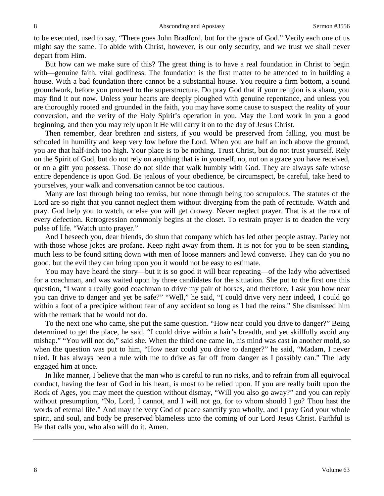to be executed, used to say, "There goes John Bradford, but for the grace of God." Verily each one of us might say the same. To abide with Christ, however, is our only security, and we trust we shall never depart from Him.

But how can we make sure of this? The great thing is to have a real foundation in Christ to begin with—genuine faith, vital godliness. The foundation is the first matter to be attended to in building a house. With a bad foundation there cannot be a substantial house. You require a firm bottom, a sound groundwork, before you proceed to the superstructure. Do pray God that if your religion is a sham, you may find it out now. Unless your hearts are deeply ploughed with genuine repentance, and unless you are thoroughly rooted and grounded in the faith, you may have some cause to suspect the reality of your conversion, and the verity of the Holy Spirit's operation in you. May the Lord work in you a good beginning, and then you may rely upon it He will carry it on to the day of Jesus Christ.

Then remember, dear brethren and sisters, if you would be preserved from falling, you must be schooled in humility and keep very low before the Lord. When you are half an inch above the ground, you are that half-inch too high. Your place is to be nothing. Trust Christ, but do not trust yourself. Rely on the Spirit of God, but do not rely on anything that is in yourself, no, not on a grace you have received, or on a gift you possess. Those do not slide that walk humbly with God. They are always safe whose entire dependence is upon God. Be jealous of your obedience, be circumspect, be careful, take heed to yourselves, your walk and conversation cannot be too cautious.

Many are lost through being too remiss, but none through being too scrupulous. The statutes of the Lord are so right that you cannot neglect them without diverging from the path of rectitude. Watch and pray. God help you to watch, or else you will get drowsy. Never neglect prayer. That is at the root of every defection. Retrogression commonly begins at the closet. To restrain prayer is to deaden the very pulse of life. "Watch unto prayer."

And I beseech you, dear friends, do shun that company which has led other people astray. Parley not with those whose jokes are profane. Keep right away from them. It is not for you to be seen standing, much less to be found sitting down with men of loose manners and lewd converse. They can do you no good, but the evil they can bring upon you it would not be easy to estimate.

You may have heard the story—but it is so good it will bear repeating—of the lady who advertised for a coachman, and was waited upon by three candidates for the situation. She put to the first one this question, "I want a really good coachman to drive my pair of horses, and therefore, I ask you how near you can drive to danger and yet be safe?" "Well," he said, "I could drive very near indeed, I could go within a foot of a precipice without fear of any accident so long as I had the reins." She dismissed him with the remark that he would not do.

To the next one who came, she put the same question. "How near could you drive to danger?" Being determined to get the place, he said, "I could drive within a hair's breadth, and yet skillfully avoid any mishap." "You will not do," said she. When the third one came in, his mind was cast in another mold, so when the question was put to him, "How near could you drive to danger?" he said, "Madam, I never tried. It has always been a rule with me to drive as far off from danger as I possibly can." The lady engaged him at once.

In like manner, I believe that the man who is careful to run no risks, and to refrain from all equivocal conduct, having the fear of God in his heart, is most to be relied upon. If you are really built upon the Rock of Ages, you may meet the question without dismay, "Will you also go away?" and you can reply without presumption, "No, Lord, I cannot, and I will not go, for to whom should I go? Thou hast the words of eternal life." And may the very God of peace sanctify you wholly, and I pray God your whole spirit, and soul, and body be preserved blameless unto the coming of our Lord Jesus Christ. Faithful is He that calls you, who also will do it. Amen.